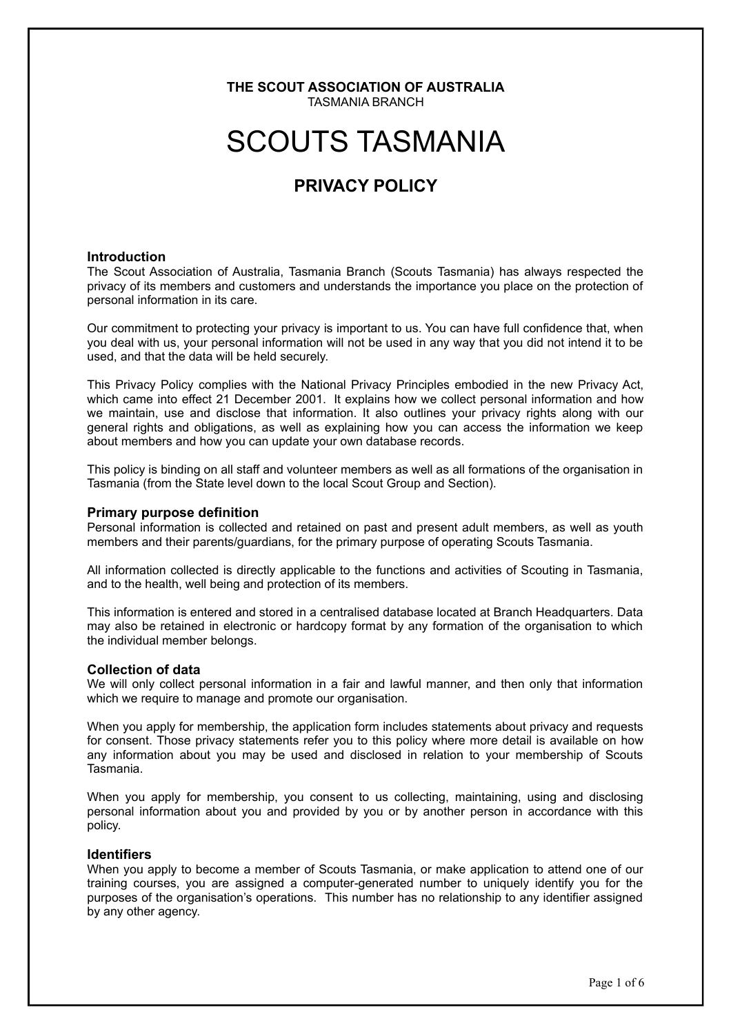### **THE SCOUT ASSOCIATION OF AUSTRALIA** TASMANIA BRANCH

# SCOUTS TASMANIA

# **PRIVACY POLICY**

### **Introduction**

The Scout Association of Australia, Tasmania Branch (Scouts Tasmania) has always respected the privacy of its members and customers and understands the importance you place on the protection of personal information in its care.

Our commitment to protecting your privacy is important to us. You can have full confidence that, when you deal with us, your personal information will not be used in any way that you did not intend it to be used, and that the data will be held securely.

This Privacy Policy complies with the National Privacy Principles embodied in the new Privacy Act, which came into effect 21 December 2001. It explains how we collect personal information and how we maintain, use and disclose that information. It also outlines your privacy rights along with our general rights and obligations, as well as explaining how you can access the information we keep about members and how you can update your own database records.

This policy is binding on all staff and volunteer members as well as all formations of the organisation in Tasmania (from the State level down to the local Scout Group and Section).

### **Primary purpose definition**

Personal information is collected and retained on past and present adult members, as well as youth members and their parents/guardians, for the primary purpose of operating Scouts Tasmania.

All information collected is directly applicable to the functions and activities of Scouting in Tasmania, and to the health, well being and protection of its members.

This information is entered and stored in a centralised database located at Branch Headquarters. Data may also be retained in electronic or hardcopy format by any formation of the organisation to which the individual member belongs.

# **Collection of data**

We will only collect personal information in a fair and lawful manner, and then only that information which we require to manage and promote our organisation.

When you apply for membership, the application form includes statements about privacy and requests for consent. Those privacy statements refer you to this policy where more detail is available on how any information about you may be used and disclosed in relation to your membership of Scouts Tasmania.

When you apply for membership, you consent to us collecting, maintaining, using and disclosing personal information about you and provided by you or by another person in accordance with this policy.

### **Identifiers**

When vou apply to become a member of Scouts Tasmania, or make application to attend one of our training courses, you are assigned a computer-generated number to uniquely identify you for the purposes of the organisation's operations. This number has no relationship to any identifier assigned by any other agency.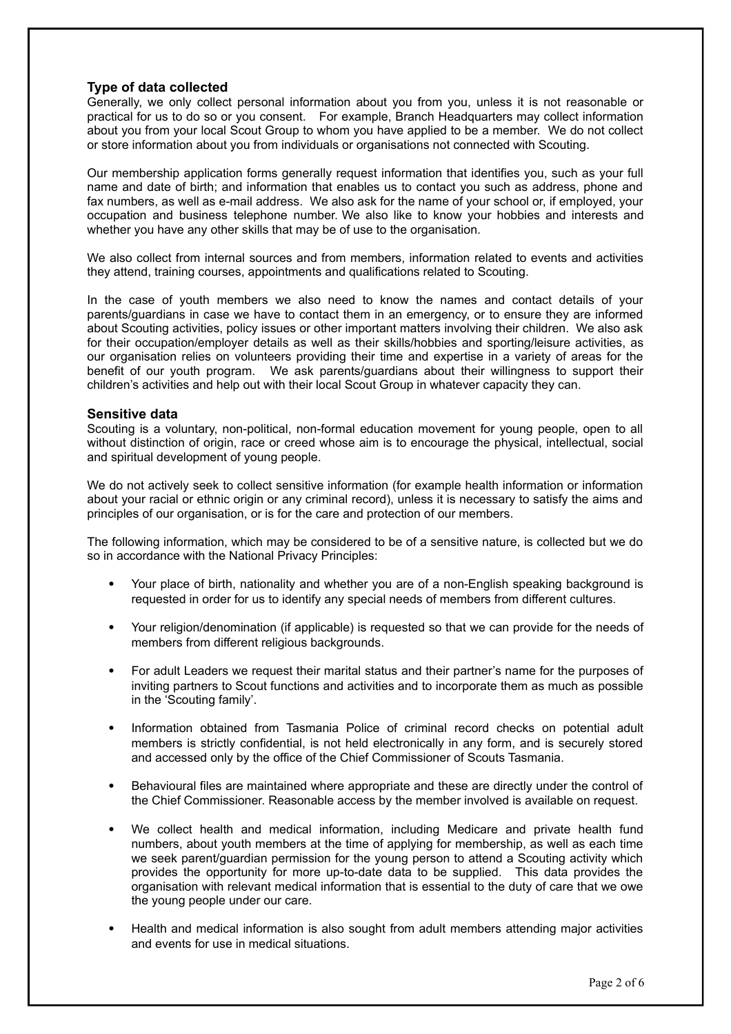# **Type of data collected**

Generally, we only collect personal information about you from you, unless it is not reasonable or practical for us to do so or you consent. For example, Branch Headquarters may collect information about you from your local Scout Group to whom you have applied to be a member. We do not collect or store information about you from individuals or organisations not connected with Scouting.

Our membership application forms generally request information that identifies you, such as your full name and date of birth; and information that enables us to contact you such as address, phone and fax numbers, as well as e-mail address. We also ask for the name of your school or, if employed, your occupation and business telephone number. We also like to know your hobbies and interests and whether you have any other skills that may be of use to the organisation.

We also collect from internal sources and from members, information related to events and activities they attend, training courses, appointments and qualifications related to Scouting.

In the case of youth members we also need to know the names and contact details of your parents/guardians in case we have to contact them in an emergency, or to ensure they are informed about Scouting activities, policy issues or other important matters involving their children. We also ask for their occupation/employer details as well as their skills/hobbies and sporting/leisure activities, as our organisation relies on volunteers providing their time and expertise in a variety of areas for the benefit of our youth program. We ask parents/guardians about their willingness to support their children's activities and help out with their local Scout Group in whatever capacity they can.

# **Sensitive data**

Scouting is a voluntary, non-political, non-formal education movement for young people, open to all without distinction of origin, race or creed whose aim is to encourage the physical, intellectual, social and spiritual development of young people.

We do not actively seek to collect sensitive information (for example health information or information about your racial or ethnic origin or any criminal record), unless it is necessary to satisfy the aims and principles of our organisation, or is for the care and protection of our members.

The following information, which may be considered to be of a sensitive nature, is collected but we do so in accordance with the National Privacy Principles:

- Your place of birth, nationality and whether you are of a non-English speaking background is requested in order for us to identify any special needs of members from different cultures.
- Your religion/denomination (if applicable) is requested so that we can provide for the needs of members from different religious backgrounds.
- For adult Leaders we request their marital status and their partner's name for the purposes of inviting partners to Scout functions and activities and to incorporate them as much as possible in the 'Scouting family'.
- Information obtained from Tasmania Police of criminal record checks on potential adult members is strictly confidential, is not held electronically in any form, and is securely stored and accessed only by the office of the Chief Commissioner of Scouts Tasmania.
- Behavioural files are maintained where appropriate and these are directly under the control of the Chief Commissioner. Reasonable access by the member involved is available on request.
- We collect health and medical information, including Medicare and private health fund numbers, about youth members at the time of applying for membership, as well as each time we seek parent/guardian permission for the young person to attend a Scouting activity which provides the opportunity for more up-to-date data to be supplied. This data provides the organisation with relevant medical information that is essential to the duty of care that we owe the young people under our care.
- Health and medical information is also sought from adult members attending major activities and events for use in medical situations.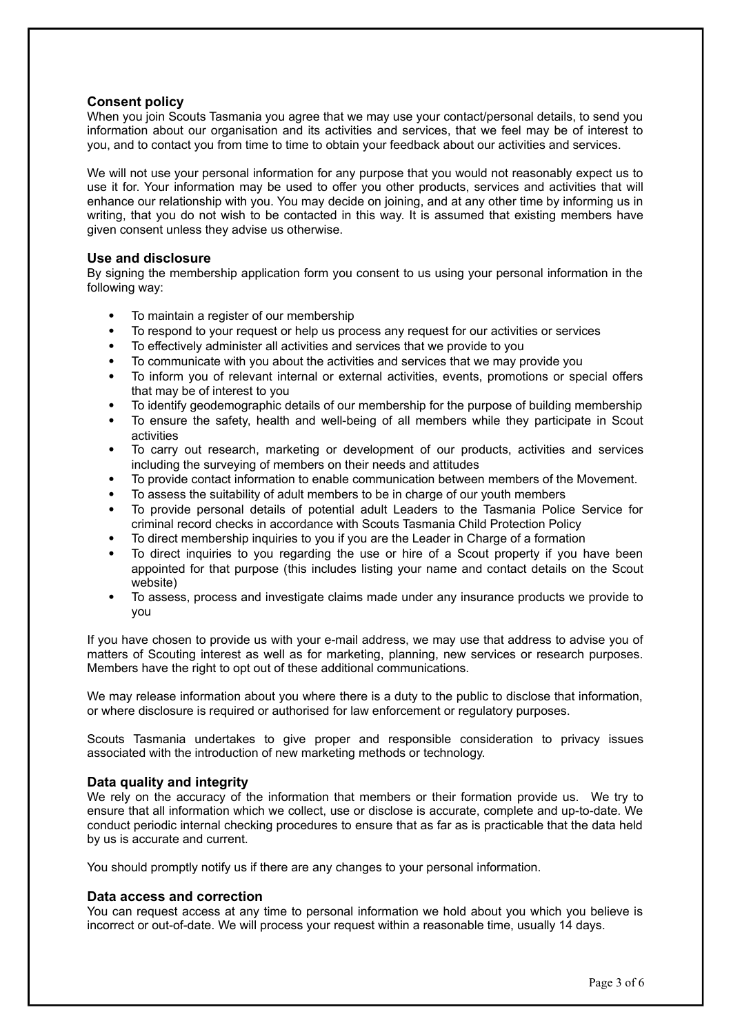# **Consent policy**

When you join Scouts Tasmania you agree that we may use your contact/personal details, to send you information about our organisation and its activities and services, that we feel may be of interest to you, and to contact you from time to time to obtain your feedback about our activities and services.

We will not use your personal information for any purpose that you would not reasonably expect us to use it for. Your information may be used to offer you other products, services and activities that will enhance our relationship with you. You may decide on joining, and at any other time by informing us in writing, that you do not wish to be contacted in this way. It is assumed that existing members have given consent unless they advise us otherwise.

# **Use and disclosure**

By signing the membership application form you consent to us using your personal information in the following way:

- To maintain a register of our membership
- To respond to your request or help us process any request for our activities or services
- To effectively administer all activities and services that we provide to you
- To communicate with you about the activities and services that we may provide you
- To inform you of relevant internal or external activities, events, promotions or special offers that may be of interest to you
- To identify geodemographic details of our membership for the purpose of building membership
- To ensure the safety, health and well-being of all members while they participate in Scout activities
- To carry out research, marketing or development of our products, activities and services including the surveying of members on their needs and attitudes
- To provide contact information to enable communication between members of the Movement.
- To assess the suitability of adult members to be in charge of our youth members
- To provide personal details of potential adult Leaders to the Tasmania Police Service for criminal record checks in accordance with Scouts Tasmania Child Protection Policy
- To direct membership inquiries to you if you are the Leader in Charge of a formation
- To direct inquiries to you regarding the use or hire of a Scout property if you have been appointed for that purpose (this includes listing your name and contact details on the Scout website)
- To assess, process and investigate claims made under any insurance products we provide to you

If you have chosen to provide us with your e-mail address, we may use that address to advise you of matters of Scouting interest as well as for marketing, planning, new services or research purposes. Members have the right to opt out of these additional communications.

We may release information about you where there is a duty to the public to disclose that information, or where disclosure is required or authorised for law enforcement or regulatory purposes.

Scouts Tasmania undertakes to give proper and responsible consideration to privacy issues associated with the introduction of new marketing methods or technology.

# **Data quality and integrity**

We rely on the accuracy of the information that members or their formation provide us. We try to ensure that all information which we collect, use or disclose is accurate, complete and up-to-date. We conduct periodic internal checking procedures to ensure that as far as is practicable that the data held by us is accurate and current.

You should promptly notify us if there are any changes to your personal information.

# **Data access and correction**

You can request access at any time to personal information we hold about you which you believe is incorrect or out-of-date. We will process your request within a reasonable time, usually 14 days.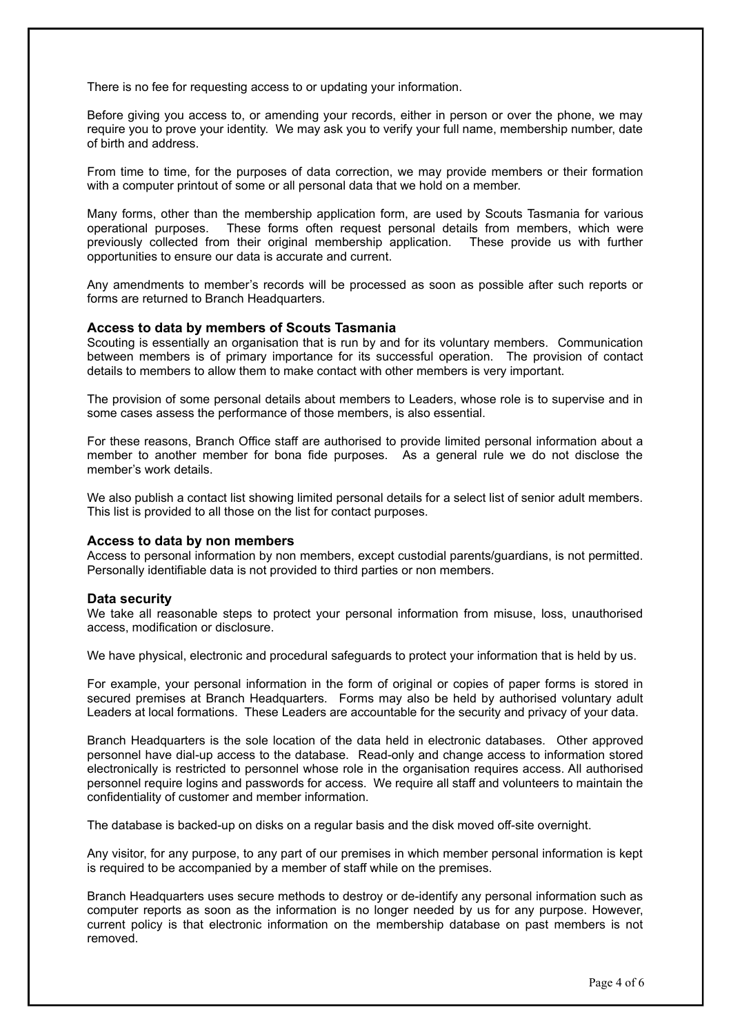There is no fee for requesting access to or updating your information.

Before giving you access to, or amending your records, either in person or over the phone, we may require you to prove your identity. We may ask you to verify your full name, membership number, date of birth and address.

From time to time, for the purposes of data correction, we may provide members or their formation with a computer printout of some or all personal data that we hold on a member.

Many forms, other than the membership application form, are used by Scouts Tasmania for various operational purposes. These forms often request personal details from members, which were previously collected from their original membership application. These provide us with further opportunities to ensure our data is accurate and current.

Any amendments to member's records will be processed as soon as possible after such reports or forms are returned to Branch Headquarters.

# **Access to data by members of Scouts Tasmania**

Scouting is essentially an organisation that is run by and for its voluntary members. Communication between members is of primary importance for its successful operation. The provision of contact details to members to allow them to make contact with other members is very important.

The provision of some personal details about members to Leaders, whose role is to supervise and in some cases assess the performance of those members, is also essential.

For these reasons, Branch Office staff are authorised to provide limited personal information about a member to another member for bona fide purposes. As a general rule we do not disclose the member's work details.

We also publish a contact list showing limited personal details for a select list of senior adult members. This list is provided to all those on the list for contact purposes.

#### **Access to data by non members**

Access to personal information by non members, except custodial parents/guardians, is not permitted. Personally identifiable data is not provided to third parties or non members.

#### **Data security**

We take all reasonable steps to protect your personal information from misuse, loss, unauthorised access, modification or disclosure.

We have physical, electronic and procedural safeguards to protect your information that is held by us.

For example, your personal information in the form of original or copies of paper forms is stored in secured premises at Branch Headquarters. Forms may also be held by authorised voluntary adult Leaders at local formations. These Leaders are accountable for the security and privacy of your data.

Branch Headquarters is the sole location of the data held in electronic databases. Other approved personnel have dial-up access to the database. Read-only and change access to information stored electronically is restricted to personnel whose role in the organisation requires access. All authorised personnel require logins and passwords for access. We require all staff and volunteers to maintain the confidentiality of customer and member information.

The database is backed-up on disks on a regular basis and the disk moved off-site overnight.

Any visitor, for any purpose, to any part of our premises in which member personal information is kept is required to be accompanied by a member of staff while on the premises.

Branch Headquarters uses secure methods to destroy or de-identify any personal information such as computer reports as soon as the information is no longer needed by us for any purpose. However, current policy is that electronic information on the membership database on past members is not removed.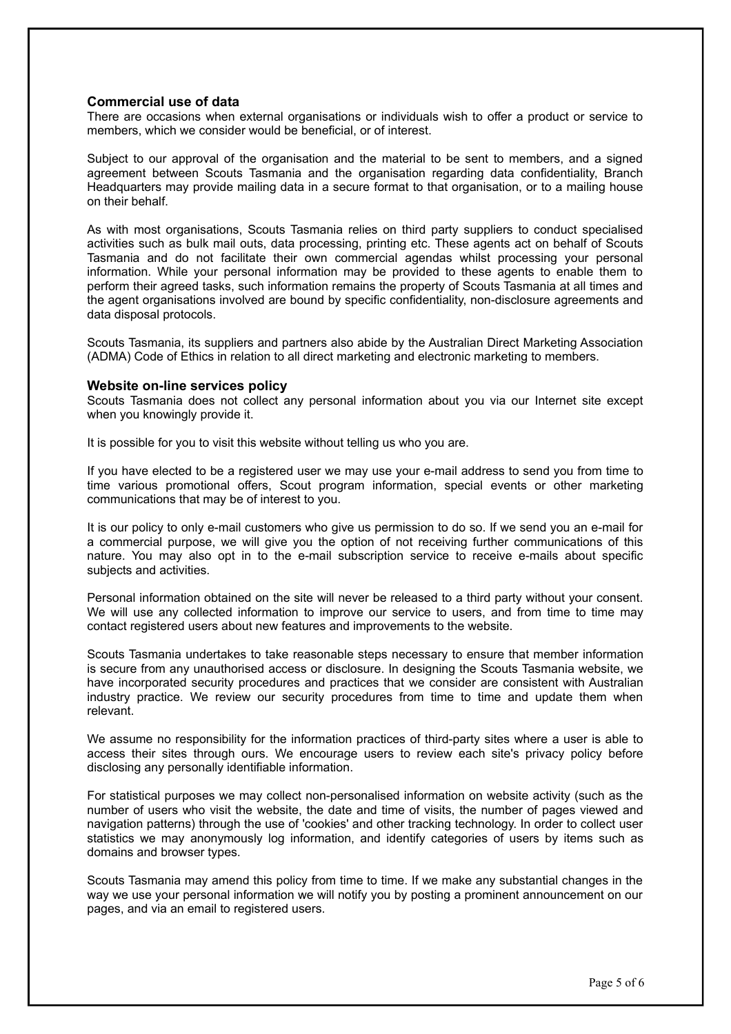# **Commercial use of data**

There are occasions when external organisations or individuals wish to offer a product or service to members, which we consider would be beneficial, or of interest.

Subject to our approval of the organisation and the material to be sent to members, and a signed agreement between Scouts Tasmania and the organisation regarding data confidentiality, Branch Headquarters may provide mailing data in a secure format to that organisation, or to a mailing house on their behalf.

As with most organisations, Scouts Tasmania relies on third party suppliers to conduct specialised activities such as bulk mail outs, data processing, printing etc. These agents act on behalf of Scouts Tasmania and do not facilitate their own commercial agendas whilst processing your personal information. While your personal information may be provided to these agents to enable them to perform their agreed tasks, such information remains the property of Scouts Tasmania at all times and the agent organisations involved are bound by specific confidentiality, non-disclosure agreements and data disposal protocols.

Scouts Tasmania, its suppliers and partners also abide by the Australian Direct Marketing Association (ADMA) Code of Ethics in relation to all direct marketing and electronic marketing to members.

#### **Website on-line services policy**

Scouts Tasmania does not collect any personal information about you via our Internet site except when you knowingly provide it.

It is possible for you to visit this website without telling us who you are.

If you have elected to be a registered user we may use your e-mail address to send you from time to time various promotional offers, Scout program information, special events or other marketing communications that may be of interest to you.

It is our policy to only e-mail customers who give us permission to do so. If we send you an e-mail for a commercial purpose, we will give you the option of not receiving further communications of this nature. You may also opt in to the e-mail subscription service to receive e-mails about specific subjects and activities.

Personal information obtained on the site will never be released to a third party without your consent. We will use any collected information to improve our service to users, and from time to time may contact registered users about new features and improvements to the website.

Scouts Tasmania undertakes to take reasonable steps necessary to ensure that member information is secure from any unauthorised access or disclosure. In designing the Scouts Tasmania website, we have incorporated security procedures and practices that we consider are consistent with Australian industry practice. We review our security procedures from time to time and update them when relevant.

We assume no responsibility for the information practices of third-party sites where a user is able to access their sites through ours. We encourage users to review each site's privacy policy before disclosing any personally identifiable information.

For statistical purposes we may collect non-personalised information on website activity (such as the number of users who visit the website, the date and time of visits, the number of pages viewed and navigation patterns) through the use of 'cookies' and other tracking technology. In order to collect user statistics we may anonymously log information, and identify categories of users by items such as domains and browser types.

Scouts Tasmania may amend this policy from time to time. If we make any substantial changes in the way we use your personal information we will notify you by posting a prominent announcement on our pages, and via an email to registered users.